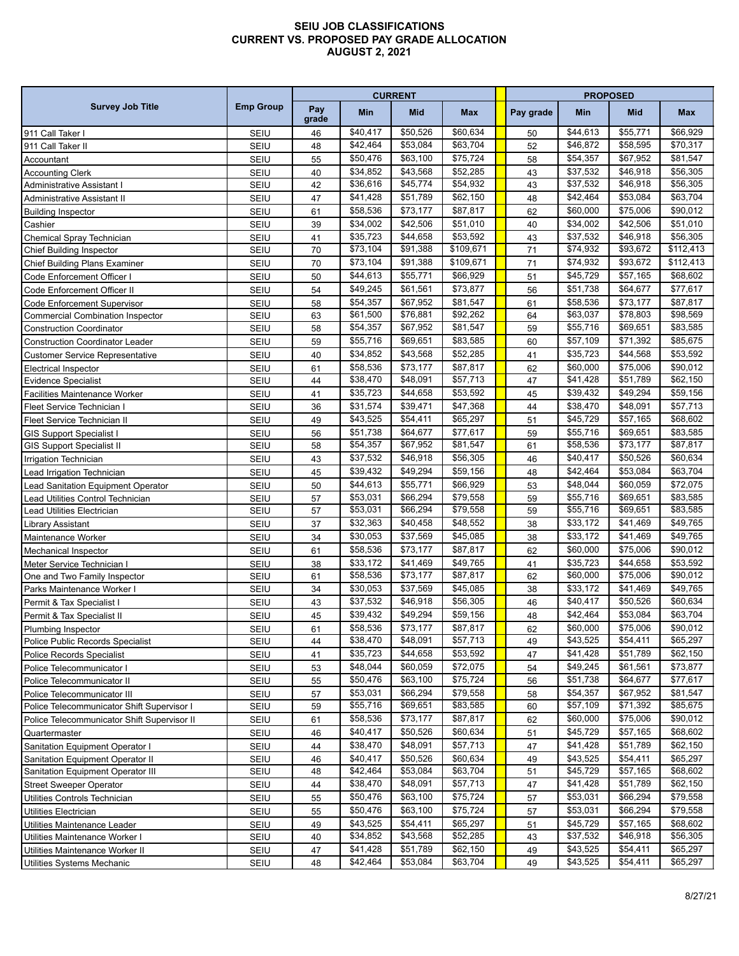## **SEIU JOB CLASSIFICATIONS CURRENT VS. PROPOSED PAY GRADE ALLOCATION AUGUST 2, 2021**

| <b>Survey Job Title</b>                     | <b>Emp Group</b> | <b>CURRENT</b> |                      |            |           |  | <b>PROPOSED</b> |                      |            |           |  |  |
|---------------------------------------------|------------------|----------------|----------------------|------------|-----------|--|-----------------|----------------------|------------|-----------|--|--|
|                                             |                  | Pay<br>grade   | Min                  | <b>Mid</b> | Max       |  | Pay grade       | Min                  | <b>Mid</b> | Max       |  |  |
| 911 Call Taker                              | SEIU             | 46             | \$40,417             | \$50,526   | \$60,634  |  | 50              | \$44,613             | \$55,771   | \$66,929  |  |  |
| 911 Call Taker II                           | SEIU             | 48             | \$42,464             | \$53,084   | \$63,704  |  | 52              | \$46,872             | \$58,595   | \$70,317  |  |  |
| Accountant                                  | SEIU             | 55             | \$50,476             | \$63,100   | \$75,724  |  | 58              | \$54,357             | \$67,952   | \$81,547  |  |  |
| <b>Accounting Clerk</b>                     | SEIU             | 40             | \$34,852             | \$43,568   | \$52,285  |  | 43              | \$37,532             | \$46,918   | \$56,305  |  |  |
| <b>Administrative Assistant I</b>           | <b>SEIU</b>      | 42             | \$36,616             | \$45,774   | \$54,932  |  | 43              | \$37,532             | \$46,918   | \$56,305  |  |  |
| Administrative Assistant II                 | SEIU             | 47             | \$41,428             | \$51,789   | \$62,150  |  | 48              | \$42,464             | \$53,084   | \$63,704  |  |  |
| <b>Building Inspector</b>                   | SEIU             | 61             | \$58,536             | \$73,177   | \$87,817  |  | 62              | \$60,000             | \$75,006   | \$90,012  |  |  |
| Cashier                                     | SEIU             | 39             | \$34,002             | \$42,506   | \$51,010  |  | 40              | \$34,002             | \$42,506   | \$51,010  |  |  |
| Chemical Spray Technician                   | SEIU             | 41             | \$35,723             | \$44,658   | \$53,592  |  | 43              | \$37,532             | \$46,918   | \$56,305  |  |  |
| Chief Building Inspector                    | <b>SEIU</b>      | 70             | \$73,104             | \$91,388   | \$109,671 |  | 71              | $\overline{$}74,932$ | \$93,672   | \$112,413 |  |  |
| Chief Building Plans Examiner               | <b>SEIU</b>      | 70             | \$73,104             | \$91,388   | \$109,671 |  | 71              | \$74,932             | \$93,672   | \$112,413 |  |  |
| Code Enforcement Officer I                  | SEIU             | 50             | \$44,613             | \$55,771   | \$66,929  |  | 51              | \$45,729             | \$57,165   | \$68,602  |  |  |
| Code Enforcement Officer II                 | SEIU             | 54             | \$49,245             | \$61,561   | \$73,877  |  | 56              | \$51,738             | \$64,677   | \$77,617  |  |  |
| Code Enforcement Supervisor                 | SEIU             | 58             | \$54,357             | \$67,952   | \$81,547  |  | 61              | \$58,536             | \$73,177   | \$87,817  |  |  |
| <b>Commercial Combination Inspector</b>     | <b>SEIU</b>      | 63             | \$61,500             | \$76,881   | \$92,262  |  | 64              | \$63,037             | \$78,803   | \$98,569  |  |  |
| <b>Construction Coordinator</b>             | SEIU             | 58             | \$54,357             | \$67,952   | \$81,547  |  | 59              | \$55,716             | \$69,651   | \$83.585  |  |  |
| <b>Construction Coordinator Leader</b>      | SEIU             | 59             | \$55,716             | \$69,651   | \$83,585  |  | 60              | \$57,109             | \$71,392   | \$85,675  |  |  |
| <b>Customer Service Representative</b>      | SEIU             | 40             | \$34,852             | \$43,568   | \$52,285  |  | 41              | \$35,723             | \$44,568   | \$53,592  |  |  |
| <b>Electrical Inspector</b>                 | SEIU             | 61             | \$58,536             | \$73,177   | \$87,817  |  | 62              | \$60,000             | \$75.006   | \$90,012  |  |  |
| <b>Evidence Specialist</b>                  | <b>SEIU</b>      | 44             | \$38,470             | \$48,091   | \$57,713  |  | 47              | \$41,428             | \$51,789   | \$62,150  |  |  |
| <b>Facilities Maintenance Worker</b>        | <b>SEIU</b>      | 41             | \$35,723             | \$44,658   | \$53,592  |  | 45              | \$39.432             | \$49,294   | \$59,156  |  |  |
| Fleet Service Technician I                  | SEIU             | 36             | \$31,574             | \$39,471   | \$47,368  |  | 44              | \$38,470             | \$48,091   | \$57,713  |  |  |
| Fleet Service Technician II                 | SEIU             | 49             | \$43,525             | \$54,411   | \$65,297  |  | 51              | \$45,729             | \$57,165   | \$68,602  |  |  |
| <b>GIS Support Specialist I</b>             | SEIU             | 56             | \$51,738             | \$64,677   | \$77,617  |  | 59              | \$55,716             | \$69,651   | \$83,585  |  |  |
| <b>GIS Support Specialist II</b>            | <b>SEIU</b>      | 58             | 554,357              | \$67,952   | \$81,547  |  | 61              | \$58,536             | \$73,177   | \$87,817  |  |  |
| Irrigation Technician                       | SEIU             | 43             | \$37,532             | \$46,918   | \$56,305  |  | 46              | \$40,417             | \$50,526   | \$60,634  |  |  |
| Lead Irrigation Technician                  | SEIU             | 45             | \$39,432             | \$49,294   | \$59,156  |  | 48              | \$42,464             | \$53,084   | \$63,704  |  |  |
| Lead Sanitation Equipment Operator          | SEIU             | 50             | \$44,613             | \$55,771   | \$66,929  |  | 53              | \$48,044             | \$60,059   | \$72,075  |  |  |
| Lead Utilities Control Technician           | SEIU             | 57             | \$53,031             | \$66,294   | \$79,558  |  | 59              | \$55,716             | \$69,651   | \$83,585  |  |  |
| Lead Utilities Electrician                  | <b>SEIU</b>      | 57             | \$53,031             | \$66,294   | \$79,558  |  | 59              | \$55,716             | \$69,651   | \$83,585  |  |  |
| Library Assistant                           | <b>SEIU</b>      | 37             | \$32,363             | \$40,458   | \$48,552  |  | 38              | \$33,172             | \$41,469   | \$49,765  |  |  |
| Maintenance Worker                          | SEIU             | 34             | \$30,053             | \$37,569   | \$45,085  |  | 38              | \$33,172             | \$41,469   | \$49,765  |  |  |
| Mechanical Inspector                        | SEIU             | 61             | \$58,536             | \$73,177   | \$87,817  |  | 62              | \$60,000             | \$75,006   | \$90,012  |  |  |
| Meter Service Technician I                  | SEIU             | 38             | \$33,172             | \$41,469   | \$49,765  |  | 41              | \$35,723             | \$44.658   | \$53,592  |  |  |
| One and Two Family Inspector                | <b>SEIU</b>      | 61             | \$58,536             | \$73,177   | \$87,817  |  | 62              | \$60,000             | \$75,006   | \$90,012  |  |  |
| Parks Maintenance Worker I                  | SEIU             | 34             | \$30,053             | \$37,569   | \$45,085  |  | 38              | \$33,172             | \$41,469   | \$49,765  |  |  |
| Permit & Tax Specialist I                   | SEIU             | 43             | \$37,532             | \$46,918   | \$56,305  |  | 46              | \$40,417             | \$50,526   | \$60,634  |  |  |
| Permit & Tax Specialist II                  | SEIU             | 45             | \$39,432             | \$49,294   | \$59,156  |  | 48              | \$42,464             | \$53,084   | \$63,704  |  |  |
| Plumbing Inspector                          | <b>SEIU</b>      | 61             | \$58,536             | \$73,177   | \$87,817  |  | 62              | \$60,000             | \$75,006   | \$90,012  |  |  |
| Police Public Records Specialist            | <b>SEIU</b>      | 44             | \$38,470             | \$48,091   | \$57,713  |  | 49              | \$43,525             | \$54,411   | \$65,297  |  |  |
| <b>Police Records Specialist</b>            | <b>SEIU</b>      | 41             | \$35,723             | \$44,658   | \$53,592  |  | 47              | \$41,428             | \$51,789   | \$62,150  |  |  |
| Police Telecommunicator I                   | SEIU             | 53             | \$48,044             | \$60,059   | \$72,075  |  | 54              | \$49,245             | \$61,561   | \$73,877  |  |  |
| Police Telecommunicator II                  | SEIU             | 55             | \$50,476             | \$63,100   | \$75,724  |  | 56              | \$51,738             | \$64,677   | \$77,617  |  |  |
| Police Telecommunicator III                 | SEIU             | 57             | \$53,031             | \$66,294   | \$79,558  |  | 58              | \$54,357             | \$67,952   | \$81,547  |  |  |
| Police Telecommunicator Shift Supervisor I  | SEIU             | 59             | \$55,716             | \$69,651   | \$83,585  |  | 60              | \$57,109             | \$71,392   | \$85,675  |  |  |
| Police Telecommunicator Shift Supervisor II | SEIU             | 61             | \$58,536             | \$73,177   | \$87,817  |  | 62              | \$60,000             | \$75,006   | \$90,012  |  |  |
| Quartermaster                               | <b>SEIU</b>      | 46             | \$40,417             | \$50,526   | \$60,634  |  | 51              | \$45,729             | \$57,165   | \$68,602  |  |  |
| Sanitation Equipment Operator I             | SEIU             | 44             | \$38,470             | \$48,091   | \$57,713  |  | 47              | \$41,428             | \$51,789   | \$62,150  |  |  |
| Sanitation Equipment Operator II            | SEIU             | 46             | \$40,417             | \$50,526   | \$60,634  |  | 49              | \$43,525             | \$54,411   | \$65.297  |  |  |
| Sanitation Equipment Operator III           | SEIU             | 48             | $\overline{$}42,464$ | \$53,084   | \$63,704  |  | 51              | \$45,729             | \$57,165   | \$68,602  |  |  |
| <b>Street Sweeper Operator</b>              | <b>SEIU</b>      | 44             | \$38,470             | \$48,091   | \$57,713  |  | 47              | \$41,428             | \$51,789   | \$62,150  |  |  |
| Utilities Controls Technician               | SEIU             | 55             | \$50,476             | \$63,100   | \$75,724  |  | 57              | \$53,031             | \$66,294   | \$79,558  |  |  |
| Utilities Electrician                       | SEIU             | 55             | \$50,476             | \$63,100   | \$75,724  |  | 57              | \$53,031             | \$66,294   | \$79,558  |  |  |
| Utilities Maintenance Leader                | SEIU             | 49             | \$43,525             | \$54,411   | \$65,297  |  | 51              | \$45,729             | \$57,165   | \$68,602  |  |  |
| Utilities Maintenance Worker I              | SEIU             | 40             | \$34,852             | \$43,568   | \$52,285  |  | 43              | \$37,532             | \$46,918   | \$56,305  |  |  |
| Utilities Maintenance Worker II             | <b>SEIU</b>      | 47             | \$41,428             | \$51,789   | \$62,150  |  | 49              | \$43,525             | \$54,411   | \$65,297  |  |  |
| <b>Utilities Systems Mechanic</b>           | SEIU             | 48             | \$42,464             | \$53,084   | \$63,704  |  | 49              | \$43,525             | \$54,411   | \$65,297  |  |  |